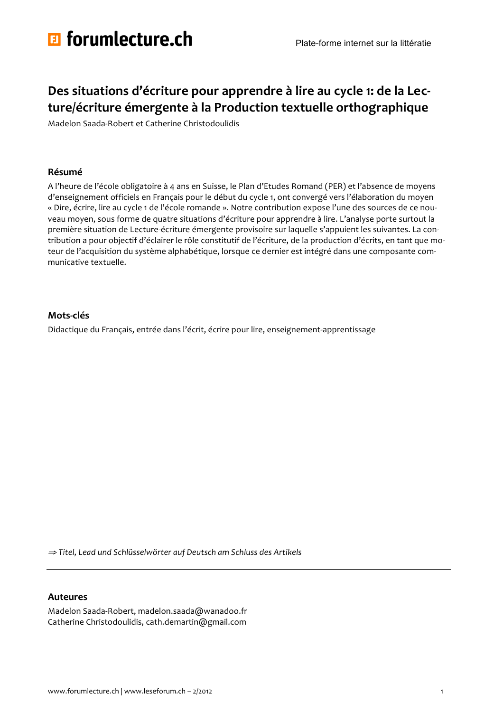

# Des situations d'écriture pour apprendre à lire au cycle 1: de la Lecture/écriture émergente à la Production textuelle orthographique

Madelon Saada-Robert et Catherine Christodoulidis

## Résumé

A l'heure de l'école obligatoire à 4 ans en Suisse, le Plan d'Etudes Romand (PER) et l'absence de moyens d'enseignement officiels en Français pour le début du cycle 1, ont convergé vers l'élaboration du moyen « Dire, écrire, lire au cycle 1 de l'école romande ». Notre contribution expose l'une des sources de ce nouveau moyen, sous forme de quatre situations d'écriture pour apprendre à lire. L'analyse porte surtout la première situation de Lecture-écriture émergente provisoire sur laquelle s'appuient les suivantes. La contribution a pour objectif d'éclairer le rôle constitutif de l'écriture, de la production d'écrits, en tant que moteur de l'acquisition du système alphabétique, lorsque ce dernier est intégré dans une composante communicative textuelle.

## Mots-clés

Didactique du Français, entrée dans l'écrit, écrire pour lire, enseignement-apprentissage

⇒ Titel, Lead und Schlüsselwörter auf Deutsch am Schluss des Artikels

## **Auteures**

Madelon Saada-Robert, madelon.saada@wanadoo.fr Catherine Christodoulidis, cath.demartin@gmail.com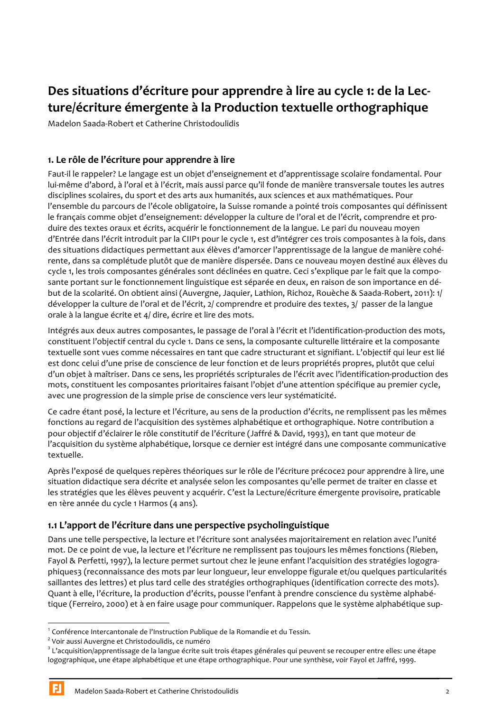# Des situations d'écriture pour apprendre à lire au cycle 1: de la Lecture/écriture émergente à la Production textuelle orthographique

Madelon Saada-Robert et Catherine Christodoulidis

# 1. Le rôle de l'écriture pour apprendre à lire

Faut-il le rappeler? Le langage est un objet d'enseignement et d'apprentissage scolaire fondamental. Pour lui-même d'abord, à l'oral et à l'écrit, mais aussi parce qu'il fonde de manière transversale toutes les autres disciplines scolaires, du sport et des arts aux humanités, aux sciences et aux mathématiques. Pour l'ensemble du parcours de l'école obligatoire, la Suisse romande a pointé trois composantes qui définissent le français comme objet d'enseignement: développer la culture de l'oral et de l'écrit, comprendre et produire des textes oraux et écrits, acquérir le fonctionnement de la langue. Le pari du nouveau moyen d'Entrée dans l'écrit introduit par la CIIP1 pour le cycle 1, est d'intégrer ces trois composantes à la fois, dans des situations didactiques permettant aux élèves d'amorcer l'apprentissage de la langue de manière cohérente, dans sa complétude plutôt que de manière dispersée. Dans ce nouveau moyen destiné aux élèves du cycle 1, les trois composantes générales sont déclinées en quatre. Ceci s'explique par le fait que la composante portant sur le fonctionnement linguistique est séparée en deux, en raison de son importance en début de la scolarité. On obtient ainsi (Auvergne, Jaquier, Lathion, Richoz, Rouèche & Saada-Robert, 2011): 1/ développer la culture de l'oral et de l'écrit, 2/ comprendre et produire des textes, 3/ passer de la langue orale à la langue écrite et 4/ dire, écrire et lire des mots.

Intégrés aux deux autres composantes, le passage de l'oral à l'écrit et l'identification-production des mots, constituent l'objectif central du cycle 1. Dans ce sens, la composante culturelle littéraire et la composante textuelle sont vues comme nécessaires en tant que cadre structurant et signifiant. L'objectif qui leur est lié est donc celui d'une prise de conscience de leur fonction et de leurs propriétés propres, plutôt que celui d'un objet à maîtriser. Dans ce sens, les propriétés scripturales de l'écrit avec l'identification-production des mots, constituent les composantes prioritaires faisant l'objet d'une attention spécifique au premier cycle, avec une progression de la simple prise de conscience vers leur systématicité.

Ce cadre étant posé, la lecture et l'écriture, au sens de la production d'écrits, ne remplissent pas les mêmes fonctions au regard de l'acquisition des systèmes alphabétique et orthographique. Notre contribution a pour objectif d'éclairer le rôle constitutif de l'écriture (Jaffré & David, 1993), en tant que moteur de l'acquisition du système alphabétique, lorsque ce dernier est intégré dans une composante communicative textuelle.

Après l'exposé de quelques repères théoriques sur le rôle de l'écriture précoce2 pour apprendre à lire, une situation didactique sera décrite et analysée selon les composantes qu'elle permet de traiter en classe et les stratégies que les élèves peuvent y acquérir. C'est la Lecture/écriture émergente provisoire, praticable en 1ère année du cycle 1 Harmos (4 ans).

# 1.1 L'apport de l'écriture dans une perspective psycholinguistique

Dans une telle perspective, la lecture et l'écriture sont analysées majoritairement en relation avec l'unité mot. De ce point de vue, la lecture et l'écriture ne remplissent pas toujours les mêmes fonctions (Rieben, Favol & Perfetti, 1997), la lecture permet surtout chez le jeune enfant l'acquisition des stratégies logographiques3 (reconnaissance des mots par leur longueur, leur enveloppe figurale et/ou quelques particularités saillantes des lettres) et plus tard celle des stratégies orthographiques (identification correcte des mots). Quant à elle, l'écriture, la production d'écrits, pousse l'enfant à prendre conscience du système alphabétique (Ferreiro, 2000) et à en faire usage pour communiquer. Rappelons que le système alphabétique sup-

<sup>&</sup>lt;sup>1</sup> Conférence Intercantonale de l'Instruction Publique de la Romandie et du Tessin.

<sup>&</sup>lt;sup>2</sup> Voir aussi Auvergne et Christodoulidis, ce numéro

<sup>&</sup>lt;sup>3</sup> L'acquisition/apprentissage de la langue écrite suit trois étapes générales qui peuvent se recouper entre elles: une étape logographique, une étape alphabétique et une étape orthographique. Pour une synthèse, voir Fayol et Jaffré, 1999.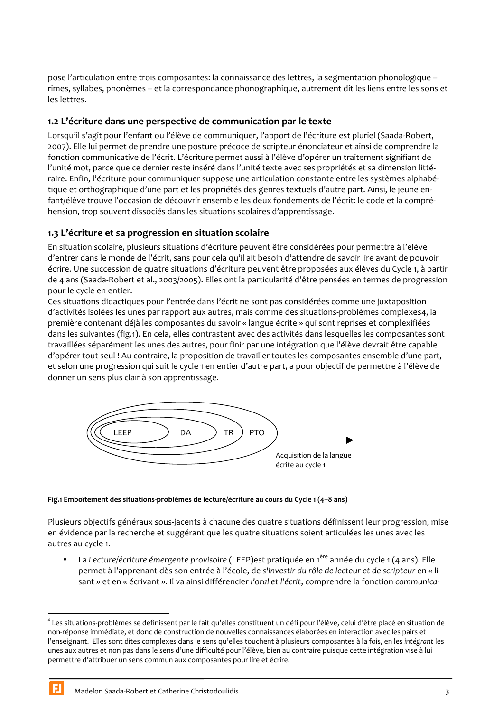pose l'articulation entre trois composantes: la connaissance des lettres, la segmentation phonologique rimes, syllabes, phonèmes – et la correspondance phonographique, autrement dit les liens entre les sons et les lettres.

# 1.2 L'écriture dans une perspective de communication par le texte

Lorsqu'il s'agit pour l'enfant ou l'élève de communiquer. l'apport de l'écriture est pluriel (Saada-Robert. 2007). Elle lui permet de prendre une posture précoce de scripteur énonciateur et ainsi de comprendre la fonction communicative de l'écrit. L'écriture permet aussi à l'élève d'opérer un traitement signifiant de l'unité mot, parce que ce dernier reste inséré dans l'unité texte avec ses propriétés et sa dimension littéraire. Enfin, l'écriture pour communiquer suppose une articulation constante entre les systèmes alphabétique et orthographique d'une part et les propriétés des genres textuels d'autre part. Ainsi, le jeune enfant/élève trouve l'occasion de découvrir ensemble les deux fondements de l'écrit: le code et la compréhension, trop souvent dissociés dans les situations scolaires d'apprentissage.

# 1.3 L'écriture et sa progression en situation scolaire

En situation scolaire, plusieurs situations d'écriture peuvent être considérées pour permettre à l'élève d'entrer dans le monde de l'écrit, sans pour cela qu'il ait besoin d'attendre de savoir lire avant de pouvoir écrire. Une succession de quatre situations d'écriture peuvent être proposées aux élèves du Cycle 1, à partir de 4 ans (Saada-Robert et al., 2003/2005). Elles ont la particularité d'être pensées en termes de progression pour le cycle en entier.

Ces situations didactiques pour l'entrée dans l'écrit ne sont pas considérées comme une juxtaposition d'activités isolées les unes par rapport aux autres, mais comme des situations-problèmes complexes4, la première contenant déjà les composantes du savoir « langue écrite » qui sont reprises et complexifiées dans les suivantes (fig.1). En cela, elles contrastent avec des activités dans lesquelles les composantes sont travaillées séparément les unes des autres, pour finir par une intégration que l'élève devrait être capable d'opérer tout seul ! Au contraire, la proposition de travailler toutes les composantes ensemble d'une part, et selon une progression qui suit le cycle 1 en entier d'autre part, a pour objectif de permettre à l'élève de donner un sens plus clair à son apprentissage.



#### Fig.1 Emboîtement des situations-problèmes de lecture/écriture au cours du Cycle 1 (4-8 ans)

Plusieurs objectifs généraux sous-jacents à chacune des quatre situations définissent leur progression, mise en évidence par la recherche et suggérant que les quatre situations soient articulées les unes avec les autres au cycle 1.

La Lecture/écriture émergente provisoire (LEEP) est pratiquée en 1<sup>ère</sup> année du cycle 1 (4 ans). Elle permet à l'apprenant dès son entrée à l'école, de s'investir du rôle de lecteur et de scripteur en « lisant » et en « écrivant ». Il va ainsi différencier l'oral et l'écrit, comprendre la fonction communica-

<sup>&</sup>lt;sup>4</sup> Les situations-problèmes se définissent par le fait qu'elles constituent un défi pour l'élève, celui d'être placé en situation de non-réponse immédiate, et donc de construction de nouvelles connaissances élaborées en interaction avec les pairs et l'enseignant. Elles sont dites complexes dans le sens qu'elles touchent à plusieurs composantes à la fois, en les intégrant les unes aux autres et non pas dans le sens d'une difficulté pour l'élève, bien au contraire puisque cette intégration vise à lui permettre d'attribuer un sens commun aux composantes pour lire et écrire.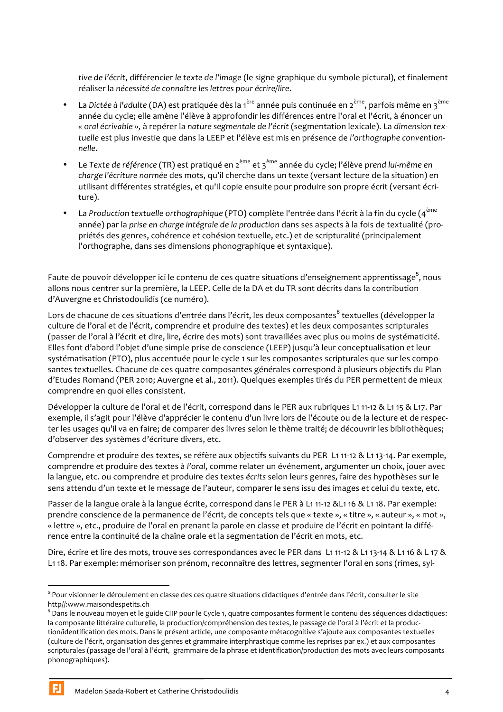tive de l'écrit, différencier le texte de l'image (le signe graphique du symbole pictural), et finalement réaliser la nécessité de connaître les lettres pour écrire/lire.

- La Dictée à l'adulte (DA) est pratiquée dès la 1<sup>ère</sup> année puis continuée en 2<sup>ème</sup>, parfois même en 3<sup>ème</sup>  $\bullet$ année du cycle; elle amène l'élève à approfondir les différences entre l'oral et l'écrit, à énoncer un « oral écrivable », à repérer la nature segmentale de l'écrit (segmentation lexicale). La dimension textuelle est plus investie que dans la LEEP et l'élève est mis en présence de l'orthographe conventionnelle.
- Le Texte de référence (TR) est pratiqué en 2<sup>ème</sup> et 3<sup>ème</sup> année du cycle; l'élève prend lui-même en  $\bullet$ charge l'écriture normée des mots, qu'il cherche dans un texte (versant lecture de la situation) en utilisant différentes stratégies, et qu'il copie ensuite pour produire son propre écrit (versant écriture).
- La Production textuelle orthographique (PTO) complète l'entrée dans l'écrit à la fin du cycle (4<sup>ème</sup>  $\bullet$ année) par la prise en charge intégrale de la production dans ses aspects à la fois de textualité (propriétés des genres, cohérence et cohésion textuelle, etc.) et de scripturalité (principalement l'orthographe, dans ses dimensions phonographique et syntaxique).

Faute de pouvoir développer ici le contenu de ces quatre situations d'enseignement apprentissage<sup>5</sup>, nous allons nous centrer sur la première, la LEEP. Celle de la DA et du TR sont décrits dans la contribution d'Auvergne et Christodoulidis (ce numéro).

Lors de chacune de ces situations d'entrée dans l'écrit, les deux composantes<sup>6</sup> textuelles (développer la culture de l'oral et de l'écrit, comprendre et produire des textes) et les deux composantes scripturales (passer de l'oral à l'écrit et dire, lire, écrire des mots) sont travaillées avec plus ou moins de systématicité. Elles font d'abord l'obiet d'une simple prise de conscience (LEEP) jusqu'à leur conceptualisation et leur systématisation (PTO), plus accentuée pour le cycle 1 sur les composantes scripturales que sur les composantes textuelles. Chacune de ces quatre composantes générales correspond à plusieurs objectifs du Plan d'Etudes Romand (PER 2010; Auvergne et al., 2011). Quelques exemples tirés du PER permettent de mieux comprendre en quoi elles consistent.

Développer la culture de l'oral et de l'écrit, correspond dans le PER aux rubriques L1 11-12 & L1 15 & L17. Par exemple, il s'agit pour l'élève d'apprécier le contenu d'un livre lors de l'écoute ou de la lecture et de respecter les usages qu'il va en faire; de comparer des livres selon le thème traité; de découvrir les bibliothèques; d'observer des systèmes d'écriture divers, etc.

Comprendre et produire des textes, se réfère aux objectifs suivants du PER L1 11-12 & L1 13-14. Par exemple, comprendre et produire des textes à l'oral, comme relater un événement, argumenter un choix, jouer avec la langue, etc. ou comprendre et produire des textes écrits selon leurs genres, faire des hypothèses sur le sens attendu d'un texte et le message de l'auteur, comparer le sens issu des images et celui du texte, etc.

Passer de la langue orale à la langue écrite, correspond dans le PER à L1 11-12 & L1 16 & L1 18. Par exemple: prendre conscience de la permanence de l'écrit, de concepts tels que « texte », « titre », « auteur », « mot », « lettre », etc., produire de l'oral en prenant la parole en classe et produire de l'écrit en pointant la différence entre la continuité de la chaîne orale et la segmentation de l'écrit en mots, etc.

Dire, écrire et lire des mots, trouve ses correspondances avec le PER dans L1 11-12 & L1 13-14 & L1 16 & L 17 & L1 18. Par exemple: mémoriser son prénom, reconnaître des lettres, segmenter l'oral en sons (rimes, syl-

<sup>&</sup>lt;sup>5</sup> Pour visionner le déroulement en classe des ces quatre situations didactiques d'entrée dans l'écrit, consulter le site http//:www.maisondespetits.ch

 $^6$  Dans le nouveau moyen et le guide CIIP pour le Cycle 1, quatre composantes forment le contenu des séquences didactiques: la composante littéraire culturelle, la production/compréhension des textes, le passage de l'oral à l'écrit et la production/identification des mots. Dans le présent article, une composante métacognitive s'ajoute aux composantes textuelles (culture de l'écrit, organisation des genres et grammaire interphrastique comme les reprises par ex.) et aux composantes scripturales (passage de l'oral à l'écrit, grammaire de la phrase et identification/production des mots avec leurs composants phonographiques).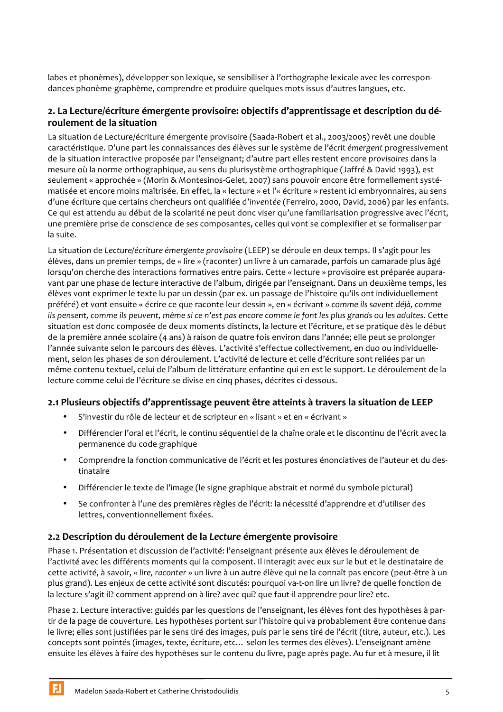labes et phonèmes), développer son lexique, se sensibiliser à l'orthographe lexicale avec les correspondances phonème-graphème, comprendre et produire quelques mots issus d'autres langues, etc.

# 2. La Lecture/écriture émergente provisoire: objectifs d'apprentissage et description du déroulement de la situation

La situation de Lecture/écriture émergente provisoire (Saada-Robert et al., 2003/2005) revêt une double caractéristique. D'une part les connaissances des élèves sur le système de l'écrit émergent progressivement de la situation interactive proposée par l'enseignant; d'autre part elles restent encore provisoires dans la mesure où la norme orthographique, au sens du plurisystème orthographique (Jaffré & David 1993), est seulement « approchée » (Morin & Montesinos-Gelet, 2007) sans pouvoir encore être formellement systématisée et encore moins maîtrisée. En effet, la « lecture » et l'« écriture » restent ici embryonnaires, au sens d'une écriture que certains chercheurs ont qualifiée d'inventée (Ferreiro, 2000, David, 2006) par les enfants. Ce qui est attendu au début de la scolarité ne peut donc viser qu'une familiarisation progressive avec l'écrit, une première prise de conscience de ses composantes, celles qui vont se complexifier et se formaliser par la suite.

La situation de Lecture/écriture émergente provisoire (LEEP) se déroule en deux temps. Il s'agit pour les élèves, dans un premier temps, de « lire » (raconter) un livre à un camarade, parfois un camarade plus âgé lorsqu'on cherche des interactions formatives entre pairs. Cette « lecture » provisoire est préparée auparavant par une phase de lecture interactive de l'album, dirigée par l'enseignant. Dans un deuxième temps, les élèves vont exprimer le texte lu par un dessin (par ex. un passage de l'histoire qu'ils ont individuellement préféré) et vont ensuite « écrire ce que raconte leur dessin », en « écrivant » comme ils savent déjà, comme ils pensent, comme ils peuvent, même si ce n'est pas encore comme le font les plus grands ou les adultes. Cette situation est donc composée de deux moments distincts, la lecture et l'écriture, et se pratique dès le début de la première année scolaire (4 ans) à raison de quatre fois environ dans l'année; elle peut se prolonger l'année suivante selon le parcours des élèves. L'activité s'effectue collectivement, en duo ou individuellement, selon les phases de son déroulement. L'activité de lecture et celle d'écriture sont reliées par un même contenu textuel, celui de l'album de littérature enfantine qui en est le support. Le déroulement de la lecture comme celui de l'écriture se divise en cinq phases, décrites ci-dessous.

# 2.1 Plusieurs objectifs d'apprentissage peuvent être atteints à travers la situation de LEEP

- $\bullet$ S'investir du rôle de lecteur et de scripteur en « lisant » et en « écrivant »
- $\bullet$ Différencier l'oral et l'écrit, le continu séquentiel de la chaîne orale et le discontinu de l'écrit avec la permanence du code graphique
- $\bullet$ Comprendre la fonction communicative de l'écrit et les postures énonciatives de l'auteur et du destinataire
- $\bullet$  . Différencier le texte de l'image (le signe graphique abstrait et normé du symbole pictural)
- Se confronter à l'une des premières règles de l'écrit: la nécessité d'apprendre et d'utiliser des lettres, conventionnellement fixées.

## 2.2 Description du déroulement de la Lecture émergente provisoire

Phase 1. Présentation et discussion de l'activité: l'enseignant présente aux élèves le déroulement de l'activité avec les différents moments qui la composent. Il interagit avec eux sur le but et le destinataire de cette activité, à savoir, « lire, raconter » un livre à un autre élève qui ne la connaît pas encore (peut-être à un plus grand). Les enjeux de cette activité sont discutés: pourquoi va-t-on lire un livre? de quelle fonction de la lecture s'agit-il? comment apprend-on à lire? avec qui? que faut-il apprendre pour lire? etc.

Phase 2. Lecture interactive: guidés par les questions de l'enseignant, les élèves font des hypothèses à partir de la page de couverture. Les hypothèses portent sur l'histoire qui va probablement être contenue dans le livre; elles sont justifiées par le sens tiré des images, puis par le sens tiré de l'écrit (titre, auteur, etc.). Les concepts sont pointés (images, texte, écriture, etc... selon les termes des élèves). L'enseignant amène ensuite les élèves à faire des hypothèses sur le contenu du livre, page après page. Au fur et à mesure, il lit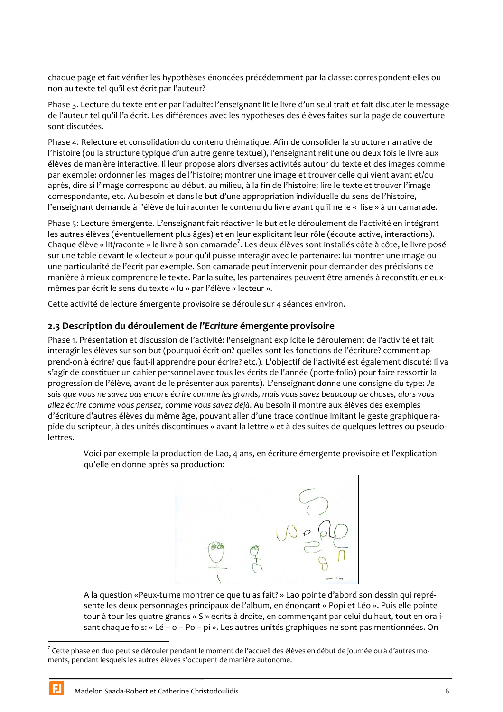chaque page et fait vérifier les hypothèses énoncées précédemment par la classe: correspondent-elles ou non au texte tel qu'il est écrit par l'auteur?

Phase 3. Lecture du texte entier par l'adulte: l'enseignant lit le livre d'un seul trait et fait discuter le message de l'auteur tel qu'il l'a écrit. Les différences avec les hypothèses des élèves faites sur la page de couverture sont discutées.

Phase 4. Relecture et consolidation du contenu thématique. Afin de consolider la structure narrative de l'histoire (ou la structure typique d'un autre genre textuel), l'enseignant relit une ou deux fois le livre aux élèves de manière interactive. Il leur propose alors diverses activités autour du texte et des images comme par exemple: ordonner les images de l'histoire; montrer une image et trouver celle qui vient avant et/ou après, dire si l'image correspond au début, au milieu, à la fin de l'histoire; lire le texte et trouver l'image correspondante, etc. Au besoin et dans le but d'une appropriation individuelle du sens de l'histoire, l'enseignant demande à l'élève de lui raconter le contenu du livre avant qu'il ne le « lise » à un camarade.

Phase 5: Lecture émergente. L'enseignant fait réactiver le but et le déroulement de l'activité en intégrant les autres élèves (éventuellement plus âgés) et en leur explicitant leur rôle (écoute active, interactions). Chaque élève « lit/raconte » le livre à son camarade<sup>7</sup>. Les deux élèves sont installés côte à côte, le livre posé sur une table devant le « lecteur » pour qu'il puisse interagir avec le partenaire: lui montrer une image ou une particularité de l'écrit par exemple. Son camarade peut intervenir pour demander des précisions de manière à mieux comprendre le texte. Par la suite, les partenaires peuvent être amenés à reconstituer euxmêmes par écrit le sens du texte « lu » par l'élève « lecteur ».

Cette activité de lecture émergente provisoire se déroule sur 4 séances environ.

## 2.3 Description du déroulement de l'Ecriture émergente provisoire

Phase 1. Présentation et discussion de l'activité: l'enseignant explicite le déroulement de l'activité et fait interagir les élèves sur son but (pourquoi écrit-on? quelles sont les fonctions de l'écriture? comment apprend-on à écrire? que faut-il apprendre pour écrire? etc.). L'objectif de l'activité est également discuté: il va s'agir de constituer un cahier personnel avec tous les écrits de l'année (porte-folio) pour faire ressortir la progression de l'élève, avant de le présenter aux parents). L'enseignant donne une consigne du type: Je sais que vous ne savez pas encore écrire comme les grands, mais vous savez beaucoup de choses, alors vous allez écrire comme vous pensez, comme vous savez déjà. Au besoin il montre aux élèves des exemples d'écriture d'autres élèves du même âge, pouvant aller d'une trace continue imitant le geste graphique rapide du scripteur, à des unités discontinues « avant la lettre » et à des suites de quelques lettres ou pseudolettres.

Voici par exemple la production de Lao, 4 ans, en écriture émergente provisoire et l'explication qu'elle en donne après sa production:



A la question «Peux-tu me montrer ce que tu as fait? » Lao pointe d'abord son dessin qui représente les deux personnages principaux de l'album, en énonçant « Popi et Léo ». Puis elle pointe tour à tour les quatre grands « S » écrits à droite, en commençant par celui du haut, tout en oralisant chaque fois: « Lé - o - Po - pi ». Les autres unités graphiques ne sont pas mentionnées. On

<sup>7</sup> Cette phase en duo peut se dérouler pendant le moment de l'accueil des élèves en début de journée ou à d'autres moments, pendant lesquels les autres élèves s'occupent de manière autonome.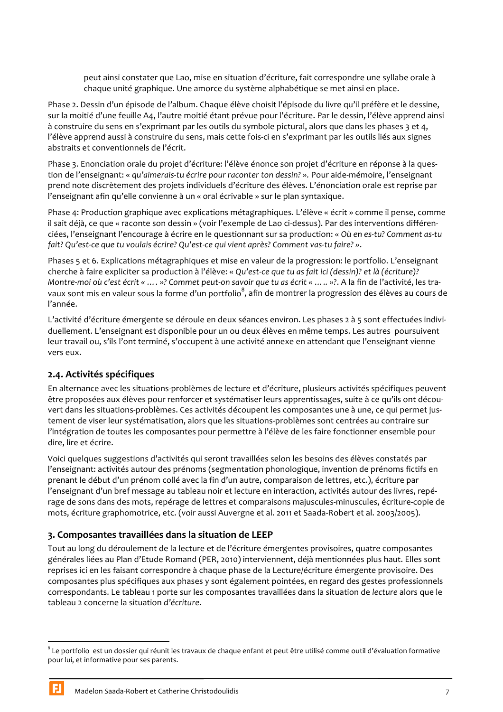peut ainsi constater que Lao, mise en situation d'écriture, fait correspondre une syllabe orale à chaque unité graphique. Une amorce du système alphabétique se met ainsi en place.

Phase 2. Dessin d'un épisode de l'album. Chaque élève choisit l'épisode du livre qu'il préfère et le dessine, sur la moitié d'une feuille A4, l'autre moitié étant prévue pour l'écriture. Par le dessin, l'élève apprend ainsi à construire du sens en s'exprimant par les outils du symbole pictural, alors que dans les phases 3 et 4, l'élève apprend aussi à construire du sens, mais cette fois-ci en s'exprimant par les outils liés aux signes abstraits et conventionnels de l'écrit.

Phase 3. Enonciation orale du projet d'écriture: l'élève énonce son projet d'écriture en réponse à la question de l'enseignant: « qu'aimerais-tu écrire pour raconter ton dessin? ». Pour aide-mémoire, l'enseignant prend note discrètement des projets individuels d'écriture des élèves. L'énonciation orale est reprise par l'enseignant afin qu'elle convienne à un « oral écrivable » sur le plan syntaxique.

Phase 4: Production graphique avec explications métagraphiques. L'élève « écrit » comme il pense, comme il sait déjà, ce que « raconte son dessin » (voir l'exemple de Lao ci-dessus). Par des interventions différenciées, l'enseignant l'encourage à écrire en le questionnant sur sa production: « Où en es-tu? Comment as-tu fait? Qu'est-ce que tu voulais écrire? Qu'est-ce qui vient après? Comment vas-tu faire? ».

Phases 5 et 6. Explications métagraphiques et mise en valeur de la progression: le portfolio. L'enseignant cherche à faire expliciter sa production à l'élève: « Qu'est-ce que tu as fait ici (dessin)? et là (écriture)? Montre-moi où c'est écrit « .... »? Commet peut-on savoir que tu as écrit « .... . »?. A la fin de l'activité, les travaux sont mis en valeur sous la forme d'un portfolio<sup>8</sup>, afin de montrer la progression des élèves au cours de l'année.

L'activité d'écriture émergente se déroule en deux séances environ. Les phases 2 à 5 sont effectuées individuellement. L'enseignant est disponible pour un ou deux élèves en même temps. Les autres poursuivent leur travail ou, s'ils l'ont terminé, s'occupent à une activité annexe en attendant que l'enseignant vienne vers eux.

# 2.4. Activités spécifiques

En alternance avec les situations-problèmes de lecture et d'écriture, plusieurs activités spécifiques peuvent être proposées aux élèves pour renforcer et systématiser leurs apprentissages, suite à ce qu'ils ont découvert dans les situations-problèmes. Ces activités découpent les composantes une à une, ce qui permet justement de viser leur systématisation, alors que les situations-problèmes sont centrées au contraire sur l'intégration de toutes les composantes pour permettre à l'élève de les faire fonctionner ensemble pour dire, lire et écrire.

Voici quelques suggestions d'activités qui seront travaillées selon les besoins des élèves constatés par l'enseignant: activités autour des prénoms (segmentation phonologique, invention de prénoms fictifs en prenant le début d'un prénom collé avec la fin d'un autre, comparaison de lettres, etc.), écriture par l'enseignant d'un bref message au tableau noir et lecture en interaction, activités autour des livres, repérage de sons dans des mots, repérage de lettres et comparaisons majuscules-minuscules, écriture-copie de mots, écriture graphomotrice, etc. (voir aussi Auvergne et al. 2011 et Saada-Robert et al. 2003/2005).

# 3. Composantes travaillées dans la situation de LEEP

Tout au long du déroulement de la lecture et de l'écriture émergentes provisoires, quatre composantes générales liées au Plan d'Etude Romand (PER, 2010) interviennent, déjà mentionnées plus haut. Elles sont reprises ici en les faisant correspondre à chaque phase de la Lecture/écriture émergente provisoire. Des composantes plus spécifiques aux phases y sont également pointées, en regard des gestes professionnels correspondants. Le tableau 1 porte sur les composantes travaillées dans la situation de lecture alors que le tableau 2 concerne la situation d'écriture.

<sup>&</sup>lt;sup>8</sup> Le portfolio est un dossier qui réunit les travaux de chaque enfant et peut être utilisé comme outil d'évaluation formative pour lui, et informative pour ses parents.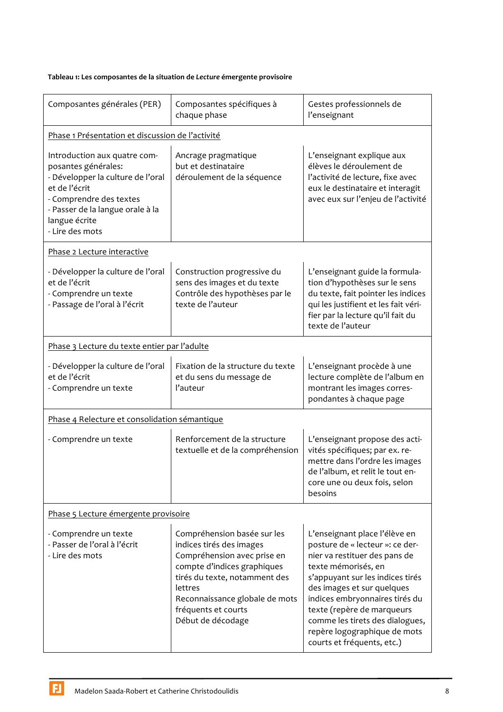#### Tableau 1: Les composantes de la situation de Lecture émergente provisoire

| Composantes générales (PER)                                                                                                                                                                                  | Composantes spécifiques à<br>chaque phase                                                                                                                                                                                                       | Gestes professionnels de<br>l'enseignant                                                                                                                                                                                                                                                                                                                    |  |  |  |  |
|--------------------------------------------------------------------------------------------------------------------------------------------------------------------------------------------------------------|-------------------------------------------------------------------------------------------------------------------------------------------------------------------------------------------------------------------------------------------------|-------------------------------------------------------------------------------------------------------------------------------------------------------------------------------------------------------------------------------------------------------------------------------------------------------------------------------------------------------------|--|--|--|--|
| Phase 1 Présentation et discussion de l'activité                                                                                                                                                             |                                                                                                                                                                                                                                                 |                                                                                                                                                                                                                                                                                                                                                             |  |  |  |  |
| Introduction aux quatre com-<br>posantes générales:<br>- Développer la culture de l'oral<br>et de l'écrit<br>- Comprendre des textes<br>- Passer de la langue orale à la<br>langue écrite<br>- Lire des mots | Ancrage pragmatique<br>but et destinataire<br>déroulement de la séquence                                                                                                                                                                        | L'enseignant explique aux<br>élèves le déroulement de<br>l'activité de lecture, fixe avec<br>eux le destinataire et interagit<br>avec eux sur l'enjeu de l'activité                                                                                                                                                                                         |  |  |  |  |
| Phase 2 Lecture interactive                                                                                                                                                                                  |                                                                                                                                                                                                                                                 |                                                                                                                                                                                                                                                                                                                                                             |  |  |  |  |
| - Développer la culture de l'oral<br>et de l'écrit<br>- Comprendre un texte<br>- Passage de l'oral à l'écrit                                                                                                 | Construction progressive du<br>sens des images et du texte<br>Contrôle des hypothèses par le<br>texte de l'auteur                                                                                                                               | L'enseignant guide la formula-<br>tion d'hypothèses sur le sens<br>du texte, fait pointer les indices<br>qui les justifient et les fait véri-<br>fier par la lecture qu'il fait du<br>texte de l'auteur                                                                                                                                                     |  |  |  |  |
| Phase 3 Lecture du texte entier par l'adulte                                                                                                                                                                 |                                                                                                                                                                                                                                                 |                                                                                                                                                                                                                                                                                                                                                             |  |  |  |  |
| - Développer la culture de l'oral<br>et de l'écrit<br>- Comprendre un texte                                                                                                                                  | Fixation de la structure du texte<br>et du sens du message de<br>l'auteur                                                                                                                                                                       | L'enseignant procède à une<br>lecture complète de l'album en<br>montrant les images corres-<br>pondantes à chaque page                                                                                                                                                                                                                                      |  |  |  |  |
| Phase 4 Relecture et consolidation sémantique                                                                                                                                                                |                                                                                                                                                                                                                                                 |                                                                                                                                                                                                                                                                                                                                                             |  |  |  |  |
| - Comprendre un texte                                                                                                                                                                                        | Renforcement de la structure<br>textuelle et de la compréhension                                                                                                                                                                                | L'enseignant propose des acti-<br>vités spécifiques; par ex. re-<br>mettre dans l'ordre les images<br>de l'album, et relit le tout en-<br>core une ou deux fois, selon<br>besoins                                                                                                                                                                           |  |  |  |  |
| Phase 5 Lecture émergente provisoire                                                                                                                                                                         |                                                                                                                                                                                                                                                 |                                                                                                                                                                                                                                                                                                                                                             |  |  |  |  |
| - Comprendre un texte<br>- Passer de l'oral à l'écrit<br>- Lire des mots                                                                                                                                     | Compréhension basée sur les<br>indices tirés des images<br>Compréhension avec prise en<br>compte d'indices graphiques<br>tirés du texte, notamment des<br>lettres<br>Reconnaissance globale de mots<br>fréquents et courts<br>Début de décodage | L'enseignant place l'élève en<br>posture de « lecteur »: ce der-<br>nier va restituer des pans de<br>texte mémorisés, en<br>s'appuyant sur les indices tirés<br>des images et sur quelques<br>indices embryonnaires tirés du<br>texte (repère de marqueurs<br>comme les tirets des dialogues,<br>repère logographique de mots<br>courts et fréquents, etc.) |  |  |  |  |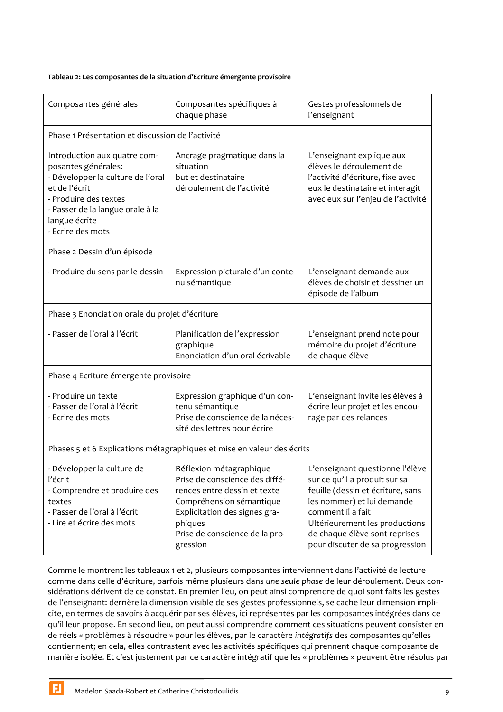#### Tableau 2: Les composantes de la situation d'Ecriture émergente provisoire

| Composantes générales                                                                                                                                                                                        | Composantes spécifiques à<br>chaque phase                                                                                                                                                                       | Gestes professionnels de<br>l'enseignant                                                                                                                                                                                                                       |  |  |  |  |
|--------------------------------------------------------------------------------------------------------------------------------------------------------------------------------------------------------------|-----------------------------------------------------------------------------------------------------------------------------------------------------------------------------------------------------------------|----------------------------------------------------------------------------------------------------------------------------------------------------------------------------------------------------------------------------------------------------------------|--|--|--|--|
| Phase 1 Présentation et discussion de l'activité                                                                                                                                                             |                                                                                                                                                                                                                 |                                                                                                                                                                                                                                                                |  |  |  |  |
| Introduction aux quatre com-<br>posantes générales:<br>- Développer la culture de l'oral<br>et de l'écrit<br>- Produire des textes<br>- Passer de la langue orale à la<br>langue écrite<br>- Ecrire des mots | Ancrage pragmatique dans la<br>situation<br>but et destinataire<br>déroulement de l'activité                                                                                                                    | L'enseignant explique aux<br>élèves le déroulement de<br>l'activité d'écriture, fixe avec<br>eux le destinataire et interagit<br>avec eux sur l'enjeu de l'activité                                                                                            |  |  |  |  |
| Phase 2 Dessin d'un épisode                                                                                                                                                                                  |                                                                                                                                                                                                                 |                                                                                                                                                                                                                                                                |  |  |  |  |
| - Produire du sens par le dessin                                                                                                                                                                             | Expression picturale d'un conte-<br>nu sémantique                                                                                                                                                               | L'enseignant demande aux<br>élèves de choisir et dessiner un<br>épisode de l'album                                                                                                                                                                             |  |  |  |  |
| Phase 3 Enonciation orale du projet d'écriture                                                                                                                                                               |                                                                                                                                                                                                                 |                                                                                                                                                                                                                                                                |  |  |  |  |
| - Passer de l'oral à l'écrit                                                                                                                                                                                 | Planification de l'expression<br>graphique<br>Enonciation d'un oral écrivable                                                                                                                                   | L'enseignant prend note pour<br>mémoire du projet d'écriture<br>de chaque élève                                                                                                                                                                                |  |  |  |  |
| Phase 4 Ecriture émergente provisoire                                                                                                                                                                        |                                                                                                                                                                                                                 |                                                                                                                                                                                                                                                                |  |  |  |  |
| - Produire un texte<br>- Passer de l'oral à l'écrit<br>- Ecrire des mots                                                                                                                                     | Expression graphique d'un con-<br>tenu sémantique<br>Prise de conscience de la néces-<br>sité des lettres pour écrire                                                                                           | L'enseignant invite les élèves à<br>écrire leur projet et les encou-<br>rage par des relances                                                                                                                                                                  |  |  |  |  |
| Phases 5 et 6 Explications métagraphiques et mise en valeur des écrits                                                                                                                                       |                                                                                                                                                                                                                 |                                                                                                                                                                                                                                                                |  |  |  |  |
| - Développer la culture de<br>l'écrit<br>- Comprendre et produire des<br>textes<br>- Passer de l'oral à l'écrit<br>- Lire et écrire des mots                                                                 | Réflexion métagraphique<br>Prise de conscience des diffé-<br>rences entre dessin et texte<br>Compréhension sémantique<br>Explicitation des signes gra-<br>phiques<br>Prise de conscience de la pro-<br>gression | L'enseignant questionne l'élève<br>sur ce qu'il a produit sur sa<br>feuille (dessin et écriture, sans<br>les nommer) et lui demande<br>comment il a fait<br>Ultérieurement les productions<br>de chaque élève sont reprises<br>pour discuter de sa progression |  |  |  |  |

Comme le montrent les tableaux 1 et 2, plusieurs composantes interviennent dans l'activité de lecture comme dans celle d'écriture, parfois même plusieurs dans une seule phase de leur déroulement. Deux considérations dérivent de ce constat. En premier lieu, on peut ainsi comprendre de quoi sont faits les gestes de l'enseignant: derrière la dimension visible de ses gestes professionnels, se cache leur dimension implicite, en termes de savoirs à acquérir par ses élèves, ici représentés par les composantes intégrées dans ce qu'il leur propose. En second lieu, on peut aussi comprendre comment ces situations peuvent consister en de réels « problèmes à résoudre » pour les élèves, par le caractère intégratifs des composantes qu'elles contiennent; en cela, elles contrastent avec les activités spécifiques qui prennent chaque composante de manière isolée. Et c'est justement par ce caractère intégratif que les « problèmes » peuvent être résolus par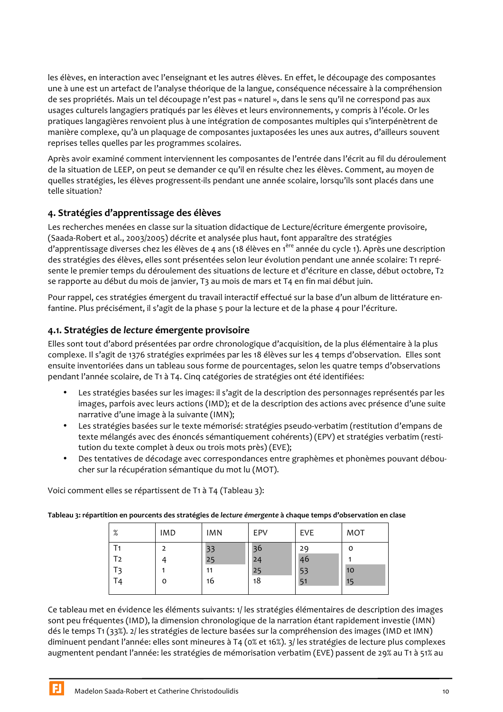les élèves, en interaction avec l'enseignant et les autres élèves. En effet, le découpage des composantes une à une est un artefact de l'analyse théorique de la langue, conséquence nécessaire à la compréhension de ses propriétés. Mais un tel découpage n'est pas « naturel », dans le sens qu'il ne correspond pas aux usages culturels langagiers pratiqués par les élèves et leurs environnements, y compris à l'école. Or les pratiques langagières renvoient plus à une intégration de composantes multiples qui s'interpénètrent de manière complexe, qu'à un plaquage de composantes juxtaposées les unes aux autres, d'ailleurs souvent reprises telles quelles par les programmes scolaires.

Après avoir examiné comment interviennent les composantes de l'entrée dans l'écrit au fil du déroulement de la situation de LEEP, on peut se demander ce qu'il en résulte chez les élèves. Comment, au moyen de quelles stratégies, les élèves progressent-ils pendant une année scolaire, lorsqu'ils sont placés dans une telle situation?

# 4. Stratégies d'apprentissage des élèves

Les recherches menées en classe sur la situation didactique de Lecture/écriture émergente provisoire, (Saada-Robert et al., 2003/2005) décrite et analysée plus haut, font apparaître des stratégies d'apprentissage diverses chez les élèves de 4 ans (18 élèves en 1<sup>ère</sup> année du cycle 1). Après une description des stratégies des élèves, elles sont présentées selon leur évolution pendant une année scolaire: T1 représente le premier temps du déroulement des situations de lecture et d'écriture en classe, début octobre, T2 se rapporte au début du mois de janvier, T3 au mois de mars et T4 en fin mai début juin.

Pour rappel, ces stratégies émergent du travail interactif effectué sur la base d'un album de littérature enfantine. Plus précisément, il s'agit de la phase 5 pour la lecture et de la phase 4 pour l'écriture.

# 4.1. Stratégies de lecture émergente provisoire

Elles sont tout d'abord présentées par ordre chronologique d'acquisition, de la plus élémentaire à la plus complexe. Il s'agit de 1376 stratégies exprimées par les 18 élèves sur les 4 temps d'observation. Elles sont ensuite inventoriées dans un tableau sous forme de pourcentages, selon les quatre temps d'observations pendant l'année scolaire, de T1 à T4. Cing catégories de stratégies ont été identifiées:

- Les stratégies basées sur les images: il s'agit de la description des personnages représentés par les images, parfois avec leurs actions (IMD); et de la description des actions avec présence d'une suite narrative d'une image à la suivante (IMN);
- Les stratégies basées sur le texte mémorisé: stratégies pseudo-verbatim (restitution d'empans de texte mélangés avec des énoncés sémantiquement cohérents) (EPV) et stratégies verbatim (restitution du texte complet à deux ou trois mots près) (EVE);
- Des tentatives de décodage avec correspondances entre graphèmes et phonèmes pouvant déboucher sur la récupération sémantique du mot lu (MOT).

Voici comment elles se répartissent de T1 à T4 (Tableau 3):

Tableau 3: répartition en pourcents des stratégies de lecture émergente à chaque temps d'observation en clase

| %              | <b>IMD</b> | <b>IMN</b> | EPV | EVE | <b>MOT</b> |
|----------------|------------|------------|-----|-----|------------|
|                |            | 33         | 36  | 29  | 0          |
| T2             |            | 25         | 24  | 46  |            |
| T <sub>3</sub> |            | 11         | 25  | 53  | 10         |
| T4             | O          | 16         | 18  | 51  | 15         |
|                |            |            |     |     |            |

Ce tableau met en évidence les éléments suivants: 1/ les stratégies élémentaires de description des images sont peu fréquentes (IMD), la dimension chronologique de la narration étant rapidement investie (IMN) dés le temps T1 (33%). 2/ les stratégies de lecture basées sur la compréhension des images (IMD et IMN) diminuent pendant l'année: elles sont mineures à T4 (0% et 16%). 3/ les stratégies de lecture plus complexes augmentent pendant l'année: les stratégies de mémorisation verbatim (EVE) passent de 29% au T1 à 51% au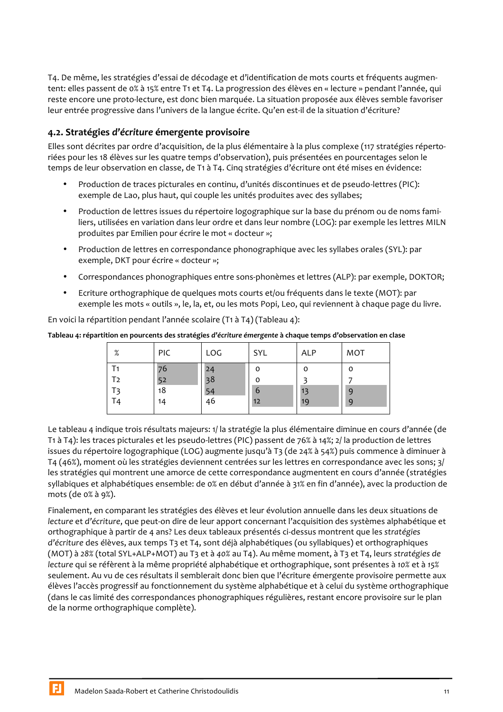T4. De même, les stratégies d'essai de décodage et d'identification de mots courts et fréquents augmentent: elles passent de 0% à 15% entre T1 et T4. La progression des élèves en « lecture » pendant l'année, qui reste encore une proto-lecture, est donc bien marquée. La situation proposée aux élèves semble favoriser leur entrée progressive dans l'univers de la langue écrite. Qu'en est-il de la situation d'écriture?

# 4.2. Stratégies d'écriture émergente provisoire

Elles sont décrites par ordre d'acquisition, de la plus élémentaire à la plus complexe (117 stratégies répertoriées pour les 18 élèves sur les quatre temps d'observation), puis présentées en pourcentages selon le temps de leur observation en classe, de T1 à T4. Cing stratégies d'écriture ont été mises en évidence:

- Production de traces picturales en continu, d'unités discontinues et de pseudo-lettres (PIC): exemple de Lao, plus haut, qui couple les unités produites avec des syllabes;
- Production de lettres issues du répertoire logographique sur la base du prénom ou de noms fami- $\bullet$ liers, utilisées en variation dans leur ordre et dans leur nombre (LOG): par exemple les lettres MILN produites par Emilien pour écrire le mot « docteur »;
- Production de lettres en correspondance phonographique avec les syllabes orales (SYL): par  $\bullet$ exemple, DKT pour écrire « docteur »;
- Correspondances phonographiques entre sons-phonèmes et lettres (ALP): par exemple, DOKTOR;  $\bullet$
- Ecriture orthographique de quelques mots courts et/ou fréquents dans le texte (MOT): par  $\bullet$ exemple les mots « outils », le, la, et, ou les mots Popi, Leo, qui reviennent à chaque page du livre.

En voici la répartition pendant l'année scolaire (T1 à T4) (Tableau 4):

Tableau 4: répartition en pourcents des stratégies d'écriture émergente à chaque temps d'observation en clase

| %              | PIC | LOG      | SYL | ALP | <b>MOT</b> |
|----------------|-----|----------|-----|-----|------------|
|                | 76  | 2Δ       | o   | O   | O          |
| T2             | 52  | 38       | 0   |     |            |
| T <sub>3</sub> | 18  |          | 6   | 13  | 9          |
| T <sub>4</sub> | 14  | 54<br>46 | 12  | 19  | 9          |
|                |     |          |     |     |            |

Le tableau 4 indique trois résultats majeurs: 1/ la stratégie la plus élémentaire diminue en cours d'année (de T1 à T4): les traces picturales et les pseudo-lettres (PIC) passent de 76% à 14%; 2/ la production de lettres issues du répertoire logographique (LOG) augmente jusqu'à T3 (de 24% à 54%) puis commence à diminuer à T4 (46%), moment où les stratégies deviennent centrées sur les lettres en correspondance avec les sons; 3/ les stratégies qui montrent une amorce de cette correspondance augmentent en cours d'année (stratégies syllabiques et alphabétiques ensemble: de 0% en début d'année à 31% en fin d'année), avec la production de mots (de o% à 9%).

Finalement, en comparant les stratégies des élèves et leur évolution annuelle dans les deux situations de lecture et d'écriture, que peut-on dire de leur apport concernant l'acquisition des systèmes alphabétique et orthographique à partir de 4 ans? Les deux tableaux présentés ci-dessus montrent que les stratégies d'écriture des élèves, aux temps T3 et T4, sont déjà alphabétiques (ou syllabiques) et orthographiques (MOT) à 28% (total SYL+ALP+MOT) au T3 et à 40% au T4). Au même moment, à T3 et T4, leurs stratégies de lecture qui se réfèrent à la même propriété alphabétique et orthographique, sont présentes à 10% et à 15% seulement. Au vu de ces résultats il semblerait donc bien que l'écriture émergente provisoire permette aux élèves l'accès progressif au fonctionnement du système alphabétique et à celui du système orthographique (dans le cas limité des correspondances phonographiques régulières, restant encore provisoire sur le plan de la norme orthographique complète).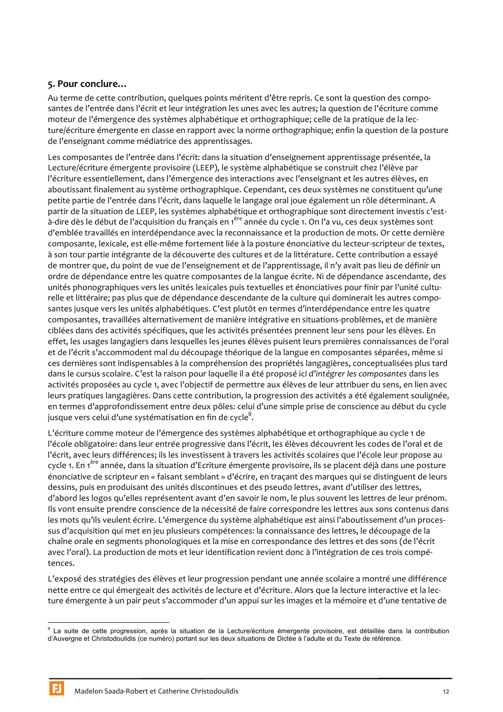## 5. Pour conclure...

Au terme de cette contribution, quelques points méritent d'être repris. Ce sont la question des composantes de l'entrée dans l'écrit et leur intégration les unes avec les autres; la question de l'écriture comme moteur de l'émergence des systèmes alphabétique et orthographique; celle de la pratique de la lecture/écriture émergente en classe en rapport avec la norme orthographique; enfin la question de la posture de l'enseignant comme médiatrice des apprentissages.

Les composantes de l'entrée dans l'écrit: dans la situation d'enseignement apprentissage présentée, la Lecture/écriture émergente provisoire (LEEP), le système alphabétique se construit chez l'élève par l'écriture essentiellement, dans l'émergence des interactions avec l'enseignant et les autres élèves, en aboutissant finalement au système orthographique. Cependant, ces deux systèmes ne constituent qu'une petite partie de l'entrée dans l'écrit, dans laquelle le langage oral joue également un rôle déterminant. A partir de la situation de LEEP, les systèmes alphabétique et orthographique sont directement investis c'està-dire dès le début de l'acquisition du français en 1<sup>ère</sup> année du cycle 1. On l'a vu, ces deux systèmes sont d'emblée travaillés en interdépendance avec la reconnaissance et la production de mots. Or cette dernière composante, lexicale, est elle-même fortement liée à la posture énonciative du lecteur-scripteur de textes, à son tour partie intégrante de la découverte des cultures et de la littérature. Cette contribution a essayé de montrer que, du point de vue de l'enseignement et de l'apprentissage, il n'y avait pas lieu de définir un ordre de dépendance entre les quatre composantes de la langue écrite. Ni de dépendance ascendante, des unités phonographiques vers les unités lexicales puis textuelles et énonciatives pour finir par l'unité culturelle et littéraire; pas plus que de dépendance descendante de la culture qui dominerait les autres composantes jusque vers les unités alphabétiques. C'est plutôt en termes d'interdépendance entre les quatre composantes, travaillées alternativement de manière intégrative en situations-problèmes, et de manière ciblées dans des activités spécifiques, que les activités présentées prennent leur sens pour les élèves. En effet, les usages langagiers dans lesquelles les jeunes élèves puisent leurs premières connaissances de l'oral et de l'écrit s'accommodent mal du découpage théorique de la langue en composantes séparées, même si ces dernières sont indispensables à la compréhension des propriétés langagières, conceptualisées plus tard dans le cursus scolaire. C'est la raison pour laquelle il a été proposé ici d'intégrer les composantes dans les activités proposées au cycle 1, avec l'objectif de permettre aux élèves de leur attribuer du sens, en lien avec leurs pratiques langagières. Dans cette contribution, la progression des activités a été également soulignée, en termes d'approfondissement entre deux pôles: celui d'une simple prise de conscience au début du cycle jusque vers celui d'une systématisation en fin de cycle<sup>9</sup>.

L'écriture comme moteur de l'émergence des systèmes alphabétique et orthographique au cycle 1 de l'école obligatoire: dans leur entrée progressive dans l'écrit, les élèves découvrent les codes de l'oral et de l'écrit, avec leurs différences; ils les investissent à travers les activités scolaires que l'école leur propose au cycle 1. En 1<sup>ère</sup> année, dans la situation d'Ecriture émergente provisoire, ils se placent déjà dans une posture énonciative de scripteur en « faisant semblant » d'écrire, en traçant des marques qui se distinguent de leurs dessins, puis en produisant des unités discontinues et des pseudo lettres, avant d'utiliser des lettres, d'abord les logos qu'elles représentent avant d'en savoir le nom, le plus souvent les lettres de leur prénom. Ils vont ensuite prendre conscience de la nécessité de faire correspondre les lettres aux sons contenus dans les mots qu'ils veulent écrire. L'émergence du système alphabétique est ainsi l'aboutissement d'un processus d'acquisition qui met en jeu plusieurs compétences: la connaissance des lettres, le découpage de la chaîne orale en segments phonologiques et la mise en correspondance des lettres et des sons (de l'écrit avec l'oral). La production de mots et leur identification revient donc à l'intégration de ces trois compétences.

L'exposé des stratégies des élèves et leur progression pendant une année scolaire a montré une différence nette entre ce qui émergeait des activités de lecture et d'écriture. Alors que la lecture interactive et la lecture émergente à un pair peut s'accommoder d'un appui sur les images et la mémoire et d'une tentative de

<sup>&</sup>lt;sup>9</sup> La suite de cette progression, après la situation de la Lecture/écriture émergente provisoire, est détaillée dans la contribution d'Auvergne et Christodoulidis (ce numéro) portant sur les deux situations de Dictée à l'adulte et du Texte de référence.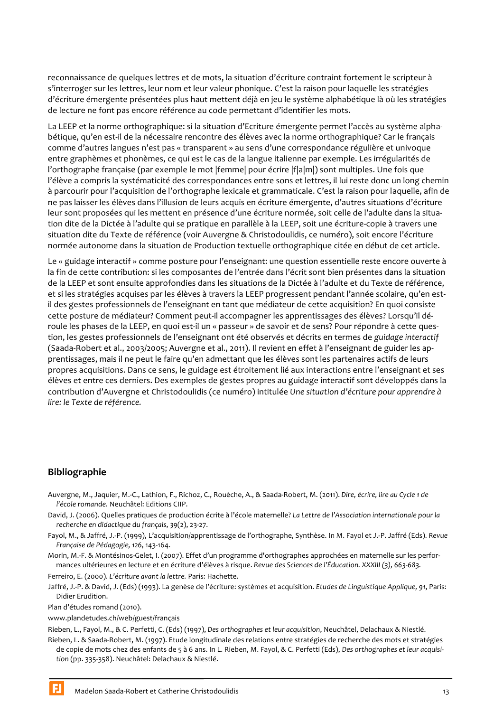reconnaissance de quelques lettres et de mots, la situation d'écriture contraint fortement le scripteur à s'interroger sur les lettres, leur nom et leur valeur phonique. C'est la raison pour laquelle les stratégies d'écriture émergente présentées plus haut mettent déià en jeu le système alphabétique là où les stratégies de lecture ne font pas encore référence au code permettant d'identifier les mots.

La LEEP et la norme orthographique: si la situation d'Ecriture émergente permet l'accès au système alphabétique, qu'en est-il de la nécessaire rencontre des élèves avec la norme orthographique? Car le français comme d'autres langues n'est pas « transparent » au sens d'une correspondance régulière et univoque entre graphèmes et phonèmes, ce qui est le cas de la langue italienne par exemple. Les irrégularités de l'orthographe française (par exemple le mot |femme| pour écrire |f|a|m|) sont multiples. Une fois que l'élève a compris la systématicité des correspondances entre sons et lettres, il lui reste donc un long chemin à parcourir pour l'acquisition de l'orthographe lexicale et grammaticale. C'est la raison pour laquelle, afin de ne pas laisser les élèves dans l'illusion de leurs acquis en écriture émergente, d'autres situations d'écriture leur sont proposées qui les mettent en présence d'une écriture normée, soit celle de l'adulte dans la situation dite de la Dictée à l'adulte qui se pratique en parallèle à la LEEP, soit une écriture-copie à travers une situation dite du Texte de référence (voir Auvergne & Christodoulidis, ce numéro), soit encore l'écriture normée autonome dans la situation de Production textuelle orthographique citée en début de cet article.

Le « guidage interactif » comme posture pour l'enseignant: une question essentielle reste encore ouverte à la fin de cette contribution: si les composantes de l'entrée dans l'écrit sont bien présentes dans la situation de la LEEP et sont ensuite approfondies dans les situations de la Dictée à l'adulte et du Texte de référence, et si les stratégies acquises par les élèves à travers la LEEP progressent pendant l'année scolaire, qu'en estil des gestes professionnels de l'enseignant en tant que médiateur de cette acquisition? En quoi consiste cette posture de médiateur? Comment peut-il accompagner les apprentissages des élèves? Lorsqu'il déroule les phases de la LEEP, en quoi est-il un « passeur » de savoir et de sens? Pour répondre à cette question, les gestes professionnels de l'enseignant ont été observés et décrits en termes de guidage interactif (Saada-Robert et al., 2003/2005; Auvergne et al., 2011). Il revient en effet à l'enseignant de guider les apprentissages, mais il ne peut le faire qu'en admettant que les élèves sont les partenaires actifs de leurs propres acquisitions. Dans ce sens, le guidage est étroitement lié aux interactions entre l'enseignant et ses élèves et entre ces derniers. Des exemples de gestes propres au guidage interactif sont développés dans la contribution d'Auvergne et Christodoulidis (ce numéro) intitulée Une situation d'écriture pour apprendre à lire: le Texte de référence.

## **Bibliographie**

- Auvergne, M., Jaquier, M.-C., Lathion, F., Richoz, C., Rouèche, A., & Saada-Robert, M. (2011). Dire, écrire, lire au Cycle 1 de l'école romande. Neuchâtel: Editions CIIP.
- David, J. (2006). Quelles pratiques de production écrite à l'école maternelle? La Lettre de l'Association internationale pour la recherche en didactique du français, 39(2), 23-27.
- Fayol, M., & Jaffré, J.-P. (1999), L'acquisition/apprentissage de l'orthographe, Synthèse. In M. Fayol et J.-P. Jaffré (Eds). Revue Française de Pédagogie, 126, 143-164.
- Morin, M.-F. & Montésinos-Gelet, J. (2007). Effet d'un programme d'orthographes approchées en maternelle sur les performances ultérieures en lecture et en écriture d'élèves à risque. Revue des Sciences de l'Éducation. XXXIII (3), 663-683.

Ferreiro, E. (2000). L'écriture avant la lettre. Paris: Hachette.

Jaffré, J.-P. & David, J. (Eds) (1993). La genèse de l'écriture: systèmes et acquisition. Etudes de Linguistique Applique, 91, Paris: Didier Erudition.

Plan d'études romand (2010).

www.plandetudes.ch/web/guest/français

Rieben, L., Fayol, M., & C. Perfetti, C. (Eds) (1997), Des orthographes et leur acquisition, Neuchâtel, Delachaux & Niestlé.

Rieben, L. & Saada-Robert, M. (1997). Etude longitudinale des relations entre stratégies de recherche des mots et stratégies de copie de mots chez des enfants de 5 à 6 ans. In L. Rieben, M. Fayol, & C. Perfetti (Eds), Des orthographes et leur acquisition (pp. 335-358). Neuchâtel: Delachaux & Niestlé.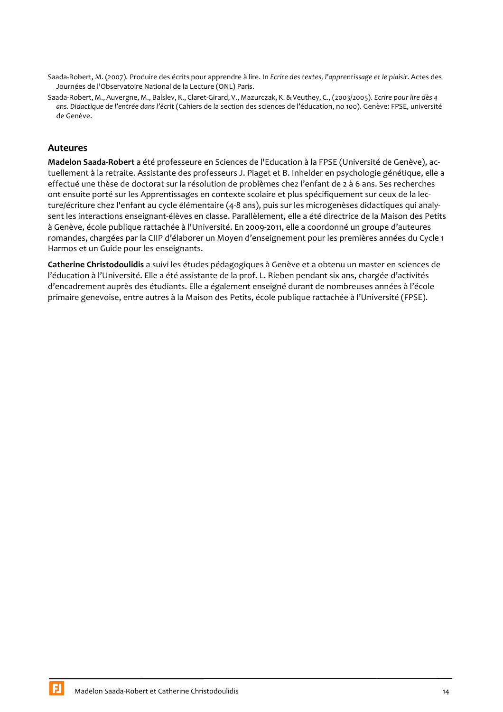- Saada-Robert, M. (2007). Produire des écrits pour apprendre à lire. In Ecrire des textes, l'apprentissage et le plaisir. Actes des Journées de l'Observatoire National de la Lecture (ONL) Paris.
- Saada-Robert, M., Auvergne, M., Balslev, K., Claret-Girard, V., Mazurczak, K. & Veuthey, C., (2003/2005). Ecrire pour lire dès 4 ans. Didactique de l'entrée dans l'écrit (Cahiers de la section des sciences de l'éducation, no 100). Genève: FPSE, université de Genève.

## **Auteures**

Madelon Saada-Robert a été professeure en Sciences de l'Education à la FPSE (Université de Genève), actuellement à la retraite. Assistante des professeurs J. Piaget et B. Inhelder en psychologie génétique, elle a effectué une thèse de doctorat sur la résolution de problèmes chez l'enfant de 2 à 6 ans. Ses recherches ont ensuite porté sur les Apprentissages en contexte scolaire et plus spécifiquement sur ceux de la lecture/écriture chez l'enfant au cycle élémentaire (4-8 ans), puis sur les microgenèses didactiques qui analysent les interactions enseignant-élèves en classe. Parallèlement, elle a été directrice de la Maison des Petits à Genève, école publique rattachée à l'Université. En 2009-2011, elle a coordonné un groupe d'auteures romandes, chargées par la CIIP d'élaborer un Moyen d'enseignement pour les premières années du Cycle 1 Harmos et un Guide pour les enseignants.

Catherine Christodoulidis a suivi les études pédagogiques à Genève et a obtenu un master en sciences de l'éducation à l'Université. Elle a été assistante de la prof. L. Rieben pendant six ans, chargée d'activités d'encadrement auprès des étudiants. Elle a également enseigné durant de nombreuses années à l'école primaire genevoise, entre autres à la Maison des Petits, école publique rattachée à l'Université (FPSE).